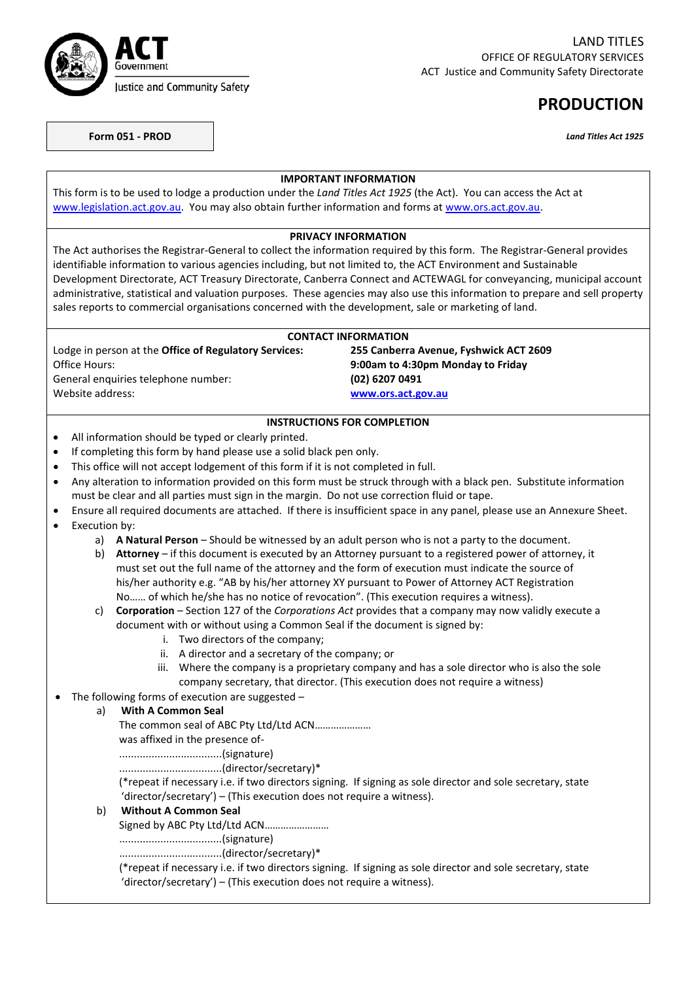

# **PRODUCTION**

**Form 051 - PROD** *Land Titles Act 1925*

| <b>IMPORTANT INFORMATION</b>                                                                               |                                                                      |                                                                                                                                                                                                      |                                                                                              |  |
|------------------------------------------------------------------------------------------------------------|----------------------------------------------------------------------|------------------------------------------------------------------------------------------------------------------------------------------------------------------------------------------------------|----------------------------------------------------------------------------------------------|--|
|                                                                                                            |                                                                      | This form is to be used to lodge a production under the Land Titles Act 1925 (the Act). You can access the Act at                                                                                    |                                                                                              |  |
|                                                                                                            |                                                                      | www.legislation.act.gov.au. You may also obtain further information and forms at www.ors.act.gov.au.                                                                                                 |                                                                                              |  |
|                                                                                                            |                                                                      |                                                                                                                                                                                                      |                                                                                              |  |
|                                                                                                            |                                                                      | <b>PRIVACY INFORMATION</b><br>The Act authorises the Registrar-General to collect the information required by this form. The Registrar-General provides                                              |                                                                                              |  |
|                                                                                                            |                                                                      | identifiable information to various agencies including, but not limited to, the ACT Environment and Sustainable                                                                                      |                                                                                              |  |
|                                                                                                            |                                                                      | Development Directorate, ACT Treasury Directorate, Canberra Connect and ACTEWAGL for conveyancing, municipal account                                                                                 |                                                                                              |  |
|                                                                                                            |                                                                      | administrative, statistical and valuation purposes. These agencies may also use this information to prepare and sell property                                                                        |                                                                                              |  |
|                                                                                                            |                                                                      | sales reports to commercial organisations concerned with the development, sale or marketing of land.                                                                                                 |                                                                                              |  |
|                                                                                                            |                                                                      |                                                                                                                                                                                                      |                                                                                              |  |
|                                                                                                            |                                                                      | <b>CONTACT INFORMATION</b>                                                                                                                                                                           |                                                                                              |  |
|                                                                                                            |                                                                      | Lodge in person at the Office of Regulatory Services:                                                                                                                                                | 255 Canberra Avenue, Fyshwick ACT 2609                                                       |  |
|                                                                                                            | Office Hours:                                                        |                                                                                                                                                                                                      | 9:00am to 4:30pm Monday to Friday                                                            |  |
|                                                                                                            | Website address:                                                     | General enquiries telephone number:                                                                                                                                                                  | (02) 6207 0491                                                                               |  |
|                                                                                                            |                                                                      |                                                                                                                                                                                                      | www.ors.act.gov.au                                                                           |  |
|                                                                                                            |                                                                      | <b>INSTRUCTIONS FOR COMPLETION</b>                                                                                                                                                                   |                                                                                              |  |
| $\bullet$                                                                                                  |                                                                      | All information should be typed or clearly printed.                                                                                                                                                  |                                                                                              |  |
| $\bullet$                                                                                                  |                                                                      | If completing this form by hand please use a solid black pen only.                                                                                                                                   |                                                                                              |  |
| $\bullet$                                                                                                  |                                                                      | This office will not accept lodgement of this form if it is not completed in full.                                                                                                                   |                                                                                              |  |
| $\bullet$                                                                                                  |                                                                      | Any alteration to information provided on this form must be struck through with a black pen. Substitute information                                                                                  |                                                                                              |  |
|                                                                                                            |                                                                      | must be clear and all parties must sign in the margin. Do not use correction fluid or tape.                                                                                                          |                                                                                              |  |
| $\bullet$                                                                                                  |                                                                      | Ensure all required documents are attached. If there is insufficient space in any panel, please use an Annexure Sheet.                                                                               |                                                                                              |  |
| $\bullet$                                                                                                  | Execution by:                                                        |                                                                                                                                                                                                      |                                                                                              |  |
|                                                                                                            |                                                                      | a) A Natural Person - Should be witnessed by an adult person who is not a party to the document.                                                                                                     |                                                                                              |  |
|                                                                                                            | b)                                                                   | Attorney - if this document is executed by an Attorney pursuant to a registered power of attorney, it                                                                                                |                                                                                              |  |
|                                                                                                            |                                                                      | must set out the full name of the attorney and the form of execution must indicate the source of<br>his/her authority e.g. "AB by his/her attorney XY pursuant to Power of Attorney ACT Registration |                                                                                              |  |
|                                                                                                            |                                                                      | No of which he/she has no notice of revocation". (This execution requires a witness).                                                                                                                |                                                                                              |  |
|                                                                                                            | c)                                                                   | Corporation - Section 127 of the Corporations Act provides that a company may now validly execute a                                                                                                  |                                                                                              |  |
|                                                                                                            |                                                                      | document with or without using a Common Seal if the document is signed by:                                                                                                                           |                                                                                              |  |
|                                                                                                            |                                                                      | i. Two directors of the company;                                                                                                                                                                     |                                                                                              |  |
|                                                                                                            |                                                                      | ii. A director and a secretary of the company; or                                                                                                                                                    |                                                                                              |  |
|                                                                                                            |                                                                      |                                                                                                                                                                                                      | iii. Where the company is a proprietary company and has a sole director who is also the sole |  |
|                                                                                                            |                                                                      | company secretary, that director. (This execution does not require a witness)                                                                                                                        |                                                                                              |  |
|                                                                                                            |                                                                      | The following forms of execution are suggested -                                                                                                                                                     |                                                                                              |  |
| <b>With A Common Seal</b><br>a)                                                                            |                                                                      |                                                                                                                                                                                                      |                                                                                              |  |
| The common seal of ABC Pty Ltd/Ltd ACN                                                                     |                                                                      | was affixed in the presence of-                                                                                                                                                                      |                                                                                              |  |
|                                                                                                            |                                                                      |                                                                                                                                                                                                      |                                                                                              |  |
|                                                                                                            |                                                                      |                                                                                                                                                                                                      |                                                                                              |  |
|                                                                                                            |                                                                      | (*repeat if necessary i.e. if two directors signing. If signing as sole director and sole secretary, state                                                                                           |                                                                                              |  |
| 'director/secretary') - (This execution does not require a witness).<br><b>Without A Common Seal</b><br>b) |                                                                      |                                                                                                                                                                                                      |                                                                                              |  |
|                                                                                                            |                                                                      |                                                                                                                                                                                                      |                                                                                              |  |
|                                                                                                            |                                                                      | Signed by ABC Pty Ltd/Ltd ACN                                                                                                                                                                        |                                                                                              |  |
|                                                                                                            |                                                                      |                                                                                                                                                                                                      |                                                                                              |  |
|                                                                                                            |                                                                      |                                                                                                                                                                                                      |                                                                                              |  |
|                                                                                                            |                                                                      | (*repeat if necessary i.e. if two directors signing. If signing as sole director and sole secretary, state                                                                                           |                                                                                              |  |
|                                                                                                            | 'director/secretary') - (This execution does not require a witness). |                                                                                                                                                                                                      |                                                                                              |  |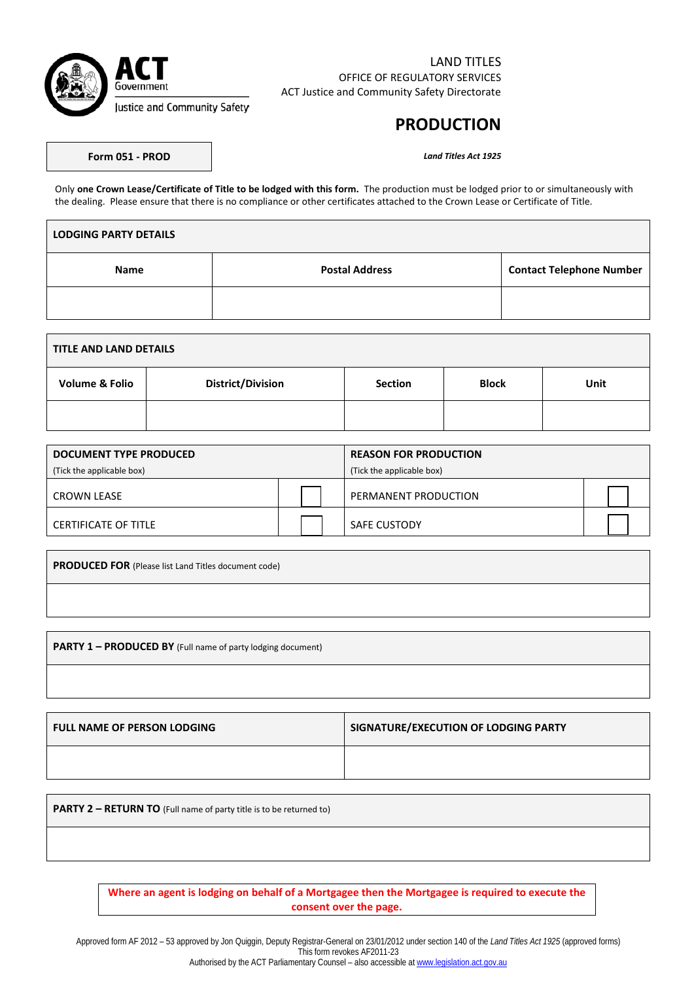

### LAND TITLES OFFICE OF REGULATORY SERVICES ACT Justice and Community Safety Directorate

## **PRODUCTION**

**Form 051 - PROD** *Land Titles Act 1925*

Only **one Crown Lease/Certificate of Title to be lodged with this form.** The production must be lodged prior to or simultaneously with the dealing. Please ensure that there is no compliance or other certificates attached to the Crown Lease or Certificate of Title.

| <b>LODGING PARTY DETAILS</b> |                       |                                 |  |  |
|------------------------------|-----------------------|---------------------------------|--|--|
| <b>Name</b>                  | <b>Postal Address</b> | <b>Contact Telephone Number</b> |  |  |
|                              |                       |                                 |  |  |

| TITLE AND LAND DETAILS    |                          |                |              |      |
|---------------------------|--------------------------|----------------|--------------|------|
| <b>Volume &amp; Folio</b> | <b>District/Division</b> | <b>Section</b> | <b>Block</b> | Unit |
|                           |                          |                |              |      |

| DOCUMENT TYPE PRODUCED      |  | <b>REASON FOR PRODUCTION</b> |  |
|-----------------------------|--|------------------------------|--|
| (Tick the applicable box)   |  | (Tick the applicable box)    |  |
| CROWN LEASE                 |  | PERMANENT PRODUCTION         |  |
| <b>CERTIFICATE OF TITLE</b> |  | <b>SAFE CUSTODY</b>          |  |

**PRODUCED FOR** (Please list Land Titles document code)

**PARTY 1 – PRODUCED BY** (Full name of party lodging document)

| <b>FULL NAME OF PERSON LODGING</b> | SIGNATURE/EXECUTION OF LODGING PARTY |
|------------------------------------|--------------------------------------|
|                                    |                                      |

**PARTY 2 – RETURN TO** (Full name of party title is to be returned to)

**Where an agent is lodging on behalf of a Mortgagee then the Mortgagee is required to execute the consent over the page.**

Approved form AF 2012 – 53 approved by Jon Quiggin, Deputy Registrar-General on 23/01/2012 under section 140 of the *Land Titles Act 1925* (approved forms) This form revokes AF2011-23 Authorised by the ACT Parliamentary Counsel - also accessible a[t www.legislation.act.gov.au](http://www.legislation.act.gov.au/)